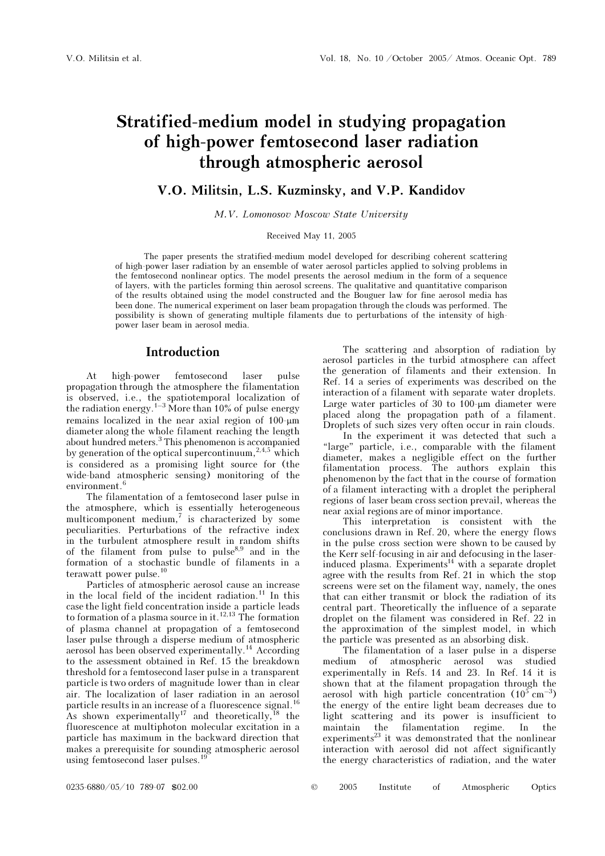# Stratified-medium model in studying propagation of high-power femtosecond laser radiation through atmospheric aerosol

### V.O. Militsin, L.S. Kuzminsky, and V.P. Kandidov

M.V. Lomonosov Moscow State University

#### Received May 11, 2005

The paper presents the stratified-medium model developed for describing coherent scattering of high-power laser radiation by an ensemble of water aerosol particles applied to solving problems in the femtosecond nonlinear optics. The model presents the aerosol medium in the form of a sequence of layers, with the particles forming thin aerosol screens. The qualitative and quantitative comparison of the results obtained using the model constructed and the Bouguer law for fine aerosol media has been done. The numerical experiment on laser beam propagation through the clouds was performed. The possibility is shown of generating multiple filaments due to perturbations of the intensity of highpower laser beam in aerosol media.

### Introduction

At high-power femtosecond laser pulse propagation through the atmosphere the filamentation is observed, i.e., the spatiotemporal localization of the radiation energy.<sup>1–3</sup> More than 10% of pulse energy remains localized in the near axial region of 100-μm diameter along the whole filament reaching the length about hundred meters.<sup>3</sup> This phenomenon is accompanied by generation of the optical supercontinuum,  $2.4,5$  which is considered as a promising light source for (the wide-band atmospheric sensing) monitoring of the environment.<sup>6</sup>

The filamentation of a femtosecond laser pulse in the atmosphere, which is essentially heterogeneous multicomponent medium,<sup>7</sup> is characterized by some peculiarities. Perturbations of the refractive index in the turbulent atmosphere result in random shifts of the filament from pulse to pulse<sup>8,9</sup> and in the formation of a stochastic bundle of filaments in a terawatt power pulse.<sup>10</sup>

Particles of atmospheric aerosol cause an increase in the local field of the incident radiation.<sup>11</sup> In this case the light field concentration inside a particle leads to formation of a plasma source in it.<sup>12,13</sup> The formation of plasma channel at propagation of a femtosecond laser pulse through a disperse medium of atmospheric aerosol has been observed experimentally.<sup>14</sup> According to the assessment obtained in Ref. 15 the breakdown threshold for a femtosecond laser pulse in a transparent particle is two orders of magnitude lower than in clear air. The localization of laser radiation in an aerosol particle results in an increase of a fluorescence signal.<sup>16</sup> As shown experimentally<sup>17</sup> and theoretically, <sup>18</sup> the fluorescence at multiphoton molecular excitation in a particle has maximum in the backward direction that makes a prerequisite for sounding atmospheric aerosol using femtosecond laser pulses.<sup>1</sup>

The scattering and absorption of radiation by aerosol particles in the turbid atmosphere can affect the generation of filaments and their extension. In Ref. 14 a series of experiments was described on the interaction of a filament with separate water droplets. Large water particles of 30 to 100-μm diameter were placed along the propagation path of a filament. Droplets of such sizes very often occur in rain clouds.

In the experiment it was detected that such a "large" particle, i.e., comparable with the filament diameter, makes a negligible effect on the further filamentation process. The authors explain this phenomenon by the fact that in the course of formation of a filament interacting with a droplet the peripheral regions of laser beam cross section prevail, whereas the near axial regions are of minor importance.

This interpretation is consistent with the conclusions drawn in Ref. 20, where the energy flows in the pulse cross section were shown to be caused by the Kerr self-focusing in air and defocusing in the laserinduced plasma. Experiments<sup> $14$ </sup> with a separate droplet agree with the results from Ref. 21 in which the stop screens were set on the filament way, namely, the ones that can either transmit or block the radiation of its central part. Theoretically the influence of a separate droplet on the filament was considered in Ref. 22 in the approximation of the simplest model, in which the particle was presented as an absorbing disk.

The filamentation of a laser pulse in a disperse medium of atmospheric aerosol was studied experimentally in Refs. 14 and 23. In Ref. 14 it is shown that at the filament propagation through the aerosol with high particle concentration  $(10^5 \text{ cm}^{-3})$ the energy of the entire light beam decreases due to light scattering and its power is insufficient to maintain the filamentation regime. In the experiments<sup>23</sup> it was demonstrated that the nonlinear interaction with aerosol did not affect significantly the energy characteristics of radiation, and the water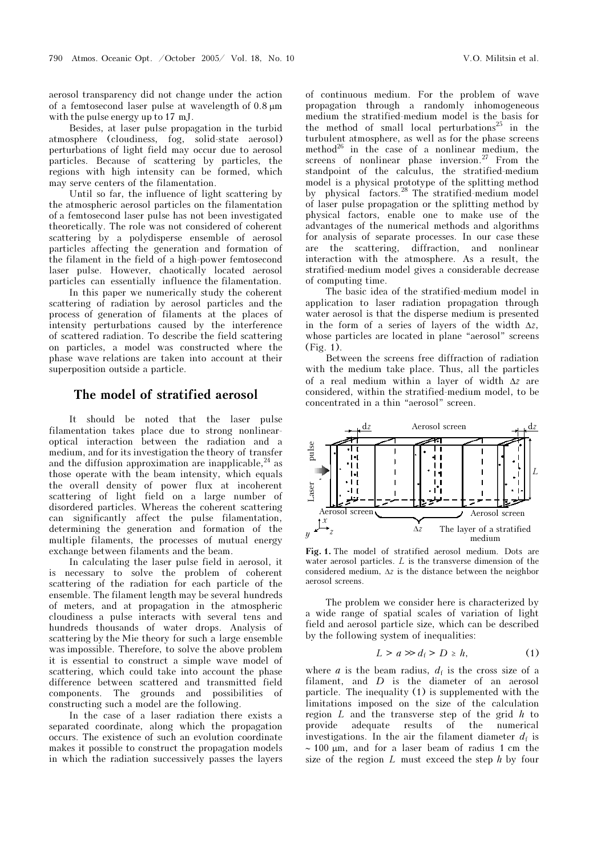aerosol transparency did not change under the action of a femtosecond laser pulse at wavelength of 0.8 μm with the pulse energy up to 17 mJ.

Besides, at laser pulse propagation in the turbid atmosphere (cloudiness, fog, solid-state aerosol) perturbations of light field may occur due to aerosol particles. Because of scattering by particles, the regions with high intensity can be formed, which may serve centers of the filamentation.

Until so far, the influence of light scattering by the atmospheric aerosol particles on the filamentation of a femtosecond laser pulse has not been investigated theoretically. The role was not considered of coherent scattering by a polydisperse ensemble of aerosol particles affecting the generation and formation of the filament in the field of a high-power femtosecond laser pulse. However, chaotically located aerosol particles can essentially influence the filamentation.

In this paper we numerically study the coherent scattering of radiation by aerosol particles and the process of generation of filaments at the places of intensity perturbations caused by the interference of scattered radiation. To describe the field scattering on particles, a model was constructed where the phase wave relations are taken into account at their superposition outside a particle.

## The model of stratified aerosol

It should be noted that the laser pulse filamentation takes place due to strong nonlinearoptical interaction between the radiation and a medium, and for its investigation the theory of transfer and the diffusion approximation are inapplicable,  $24$  as those operate with the beam intensity, which equals the overall density of power flux at incoherent scattering of light field on a large number of disordered particles. Whereas the coherent scattering can significantly affect the pulse filamentation, determining the generation and formation of the multiple filaments, the processes of mutual energy exchange between filaments and the beam.

In calculating the laser pulse field in aerosol, it is necessary to solve the problem of coherent scattering of the radiation for each particle of the ensemble. The filament length may be several hundreds of meters, and at propagation in the atmospheric cloudiness a pulse interacts with several tens and hundreds thousands of water drops. Analysis of scattering by the Mie theory for such a large ensemble was impossible. Therefore, to solve the above problem it is essential to construct a simple wave model of scattering, which could take into account the phase difference between scattered and transmitted field components. The grounds and possibilities of constructing such a model are the following.

In the case of a laser radiation there exists a separated coordinate, along which the propagation occurs. The existence of such an evolution coordinate makes it possible to construct the propagation models in which the radiation successively passes the layers of continuous medium. For the problem of wave propagation through a randomly inhomogeneous medium the stratified-medium model is the basis for the method of small local perturbations<sup>25</sup> in the turbulent atmosphere, as well as for the phase screens method<sup>26</sup> in the case of a nonlinear medium, the screens of nonlinear phase inversion.<sup>27</sup> From the standpoint of the calculus, the stratified-medium model is a physical prototype of the splitting method by physical factors.<sup>28</sup> The stratified-medium model of laser pulse propagation or the splitting method by physical factors, enable one to make use of the advantages of the numerical methods and algorithms for analysis of separate processes. In our case these are the scattering, diffraction, and nonlinear interaction with the atmosphere. As a result, the stratified-medium model gives a considerable decrease of computing time.

The basic idea of the stratified-medium model in application to laser radiation propagation through water aerosol is that the disperse medium is presented in the form of a series of layers of the width  $\Delta z$ , whose particles are located in plane "aerosol" screens (Fig. 1).

Between the screens free diffraction of radiation with the medium take place. Thus, all the particles of a real medium within a layer of width Δz are considered, within the stratified-medium model, to be concentrated in a thin "aerosol" screen.



Fig. 1. The model of stratified aerosol medium. Dots are water aerosol particles.  $L$  is the transverse dimension of the considered medium,  $\Delta z$  is the distance between the neighbor aerosol screens.

The problem we consider here is characterized by a wide range of spatial scales of variation of light field and aerosol particle size, which can be described by the following system of inequalities:

$$
L > a \gg d_{\rm f} > D \ge h,\tag{1}
$$

where *a* is the beam radius,  $d_f$  is the cross size of a filament, and D is the diameter of an aerosol particle. The inequality (1) is supplemented with the limitations imposed on the size of the calculation region  $L$  and the transverse step of the grid  $h$  to provide adequate results of the numerical investigations. In the air the filament diameter  $d_f$  is ∼ 100 μm, and for a laser beam of radius 1 cm the size of the region  $L$  must exceed the step  $h$  by four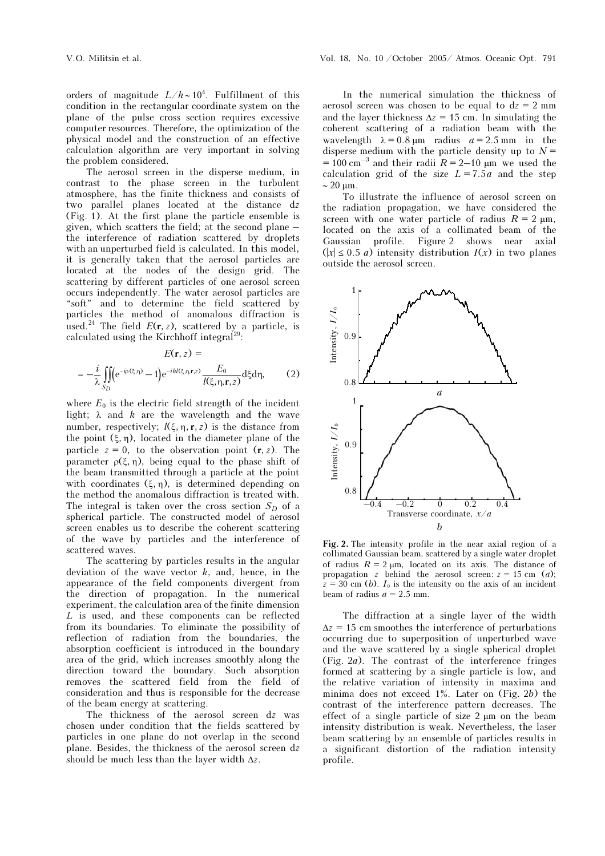orders of magnitude  $L/h \sim 10^4$ . Fulfillment of this condition in the rectangular coordinate system on the plane of the pulse cross section requires excessive computer resources. Therefore, the optimization of the physical model and the construction of an effective calculation algorithm are very important in solving the problem considered.

The aerosol screen in the disperse medium, in contrast to the phase screen in the turbulent atmosphere, has the finite thickness and consists of two parallel planes located at the distance dz (Fig. 1). At the first plane the particle ensemble is given, which scatters the field; at the second plane – the interference of radiation scattered by droplets with an unperturbed field is calculated. In this model, it is generally taken that the aerosol particles are located at the nodes of the design grid. The scattering by different particles of one aerosol screen occurs independently. The water aerosol particles are "soft" and to determine the field scattered by particles the method of anomalous diffraction is used.<sup>24</sup> The field  $E(\mathbf{r}, z)$ , scattered by a particle, is calculated using the Kirchhoff integral<sup>29</sup>

$$
E(\mathbf{r},z) =
$$

$$
=-\frac{i}{\lambda}\iint\limits_{S_D}\left(e^{-i\rho(\xi,\eta)}-1\right)e^{-ikl(\xi,\eta,\mathbf{r},z)}\frac{E_0}{l(\xi,\eta,\mathbf{r},z)}\mathrm{d}\xi\mathrm{d}\eta,\qquad(2)
$$

where  $E_0$  is the electric field strength of the incident light;  $\lambda$  and  $k$  are the wavelength and the wave number, respectively;  $l(\xi, \eta, r, z)$  is the distance from the point  $(\xi, \eta)$ , located in the diameter plane of the particle  $z = 0$ , to the observation point  $(r, z)$ . The parameter  $\rho(\xi, \eta)$ , being equal to the phase shift of the beam transmitted through a particle at the point with coordinates  $(\xi, \eta)$ , is determined depending on the method the anomalous diffraction is treated with. The integral is taken over the cross section  $S_D$  of a spherical particle. The constructed model of aerosol screen enables us to describe the coherent scattering of the wave by particles and the interference of scattered waves.

The scattering by particles results in the angular deviation of the wave vector  $k$ , and, hence, in the appearance of the field components divergent from the direction of propagation. In the numerical experiment, the calculation area of the finite dimension L is used, and these components can be reflected from its boundaries. To eliminate the possibility of reflection of radiation from the boundaries, the absorption coefficient is introduced in the boundary area of the grid, which increases smoothly along the direction toward the boundary. Such absorption removes the scattered field from the field of consideration and thus is responsible for the decrease of the beam energy at scattering.

The thickness of the aerosol screen dz was chosen under condition that the fields scattered by particles in one plane do not overlap in the second plane. Besides, the thickness of the aerosol screen dz should be much less than the layer width  $\Delta z$ .

In the numerical simulation the thickness of aerosol screen was chosen to be equal to  $dz = 2$  mm and the layer thickness  $\Delta z = 15$  cm. In simulating the coherent scattering of a radiation beam with the wavelength  $\lambda = 0.8 \text{ µm}$  radius  $a = 2.5 \text{ mm}$  in the disperse medium with the particle density up to  $N =$  $= 100 \text{ cm}^{-3}$  and their radii  $R = 2$ –10 μm we used the calculation grid of the size  $L = 7.5a$  and the step ∼ 20 μm.

To illustrate the influence of aerosol screen on the radiation propagation, we have considered the screen with one water particle of radius  $R = 2 \mu m$ , located on the axis of a collimated beam of the Gaussian profile. Figure 2 shows near axial  $(|x| \leq 0.5 a)$  intensity distribution  $I(x)$  in two planes outside the aerosol screen.



Fig. 2. The intensity profile in the near axial region of a collimated Gaussian beam, scattered by a single water droplet of radius  $R = 2 \mu m$ , located on its axis. The distance of propagation z behind the aerosol screen:  $z = 15$  cm (*a*);  $z = 30$  cm (b).  $I_0$  is the intensity on the axis of an incident beam of radius  $a = 2.5$  mm.

The diffraction at a single layer of the width  $\Delta z = 15$  cm smoothes the interference of perturbations occurring due to superposition of unperturbed wave and the wave scattered by a single spherical droplet (Fig. 2a). The contrast of the interference fringes formed at scattering by a single particle is low, and the relative variation of intensity in maxima and minima does not exceed 1%. Later on (Fig. 2b) the contrast of the interference pattern decreases. The effect of a single particle of size 2 μm on the beam intensity distribution is weak. Nevertheless, the laser beam scattering by an ensemble of particles results in a significant distortion of the radiation intensity profile.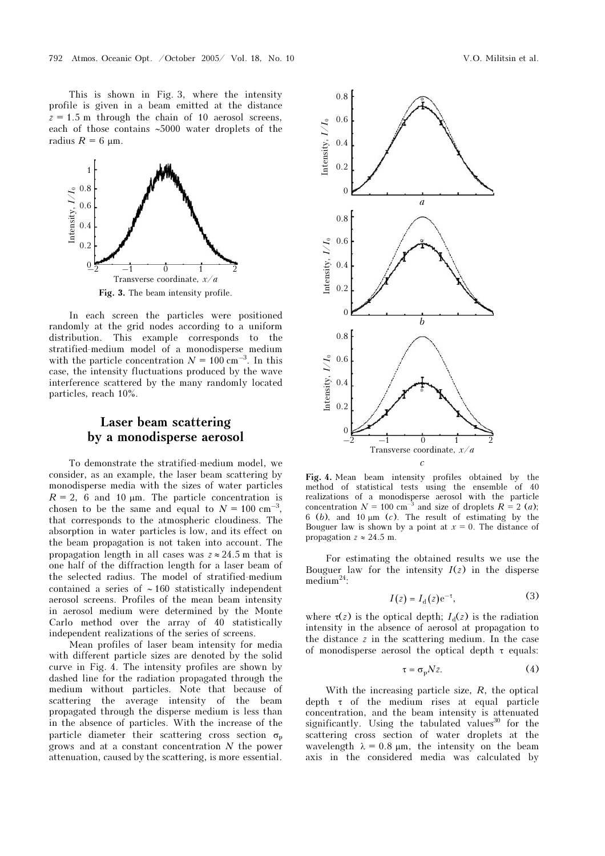This is shown in Fig. 3, where the intensity profile is given in a beam emitted at the distance  $z = 1.5$  m through the chain of 10 aerosol screens, each of those contains ∼5000 water droplets of the radius  $R = 6 \text{ µm}$ .



Fig. 3. The beam intensity profile.

In each screen the particles were positioned randomly at the grid nodes according to a uniform distribution. This example corresponds to the stratified-medium model of a monodisperse medium with the particle concentration  $N = 100 \text{ cm}^{-3}$ . In this case, the intensity fluctuations produced by the wave interference scattered by the many randomly located particles, reach 10%.

# Laser beam scattering by a monodisperse aerosol

To demonstrate the stratified-medium model, we consider, as an example, the laser beam scattering by monodisperse media with the sizes of water particles  $R = 2$ , 6 and 10  $\mu$ m. The particle concentration is chosen to be the same and equal to  $N = 100 \text{ cm}^{-3}$ , that corresponds to the atmospheric cloudiness. The absorption in water particles is low, and its effect on the beam propagation is not taken into account. The propagation length in all cases was  $z \approx 24.5$  m that is one half of the diffraction length for a laser beam of the selected radius. The model of stratified-medium contained a series of ∼ 160 statistically independent aerosol screens. Profiles of the mean beam intensity in aerosol medium were determined by the Monte Carlo method over the array of 40 statistically independent realizations of the series of screens.

Mean profiles of laser beam intensity for media with different particle sizes are denoted by the solid curve in Fig. 4. The intensity profiles are shown by dashed line for the radiation propagated through the medium without particles. Note that because of scattering the average intensity of the beam propagated through the disperse medium is less than in the absence of particles. With the increase of the particle diameter their scattering cross section  $\sigma_{\rm n}$ grows and at a constant concentration N the power attenuation, caused by the scattering, is more essential.



Fig. 4. Mean beam intensity profiles obtained by the method of statistical tests using the ensemble of 40 realizations of a monodisperse aerosol with the particle concentration  $N = 100 \text{ cm}^{-3}$  and size of droplets  $R = 2$  (*a*); 6 (b), and 10  $\mu$ m (c). The result of estimating by the Bouguer law is shown by a point at  $x = 0$ . The distance of propagation  $z \approx 24.5$  m.

For estimating the obtained results we use the Bouguer law for the intensity  $I(z)$  in the disperse medium<sup>24</sup>:

$$
I(z) = I_{d}(z)e^{-\tau},
$$
 (3)

where  $\tau(z)$  is the optical depth;  $I_d(z)$  is the radiation intensity in the absence of aerosol at propagation to the distance z in the scattering medium. In the case of monodisperse aerosol the optical depth τ equals:

$$
\tau = \sigma_{\rm p} N z. \tag{4}
$$

With the increasing particle size,  $R$ , the optical depth τ of the medium rises at equal particle concentration, and the beam intensity is attenuated significantly. Using the tabulated values $30$  for the scattering cross section of water droplets at the wavelength  $\lambda = 0.8$  μm, the intensity on the beam axis in the considered media was calculated by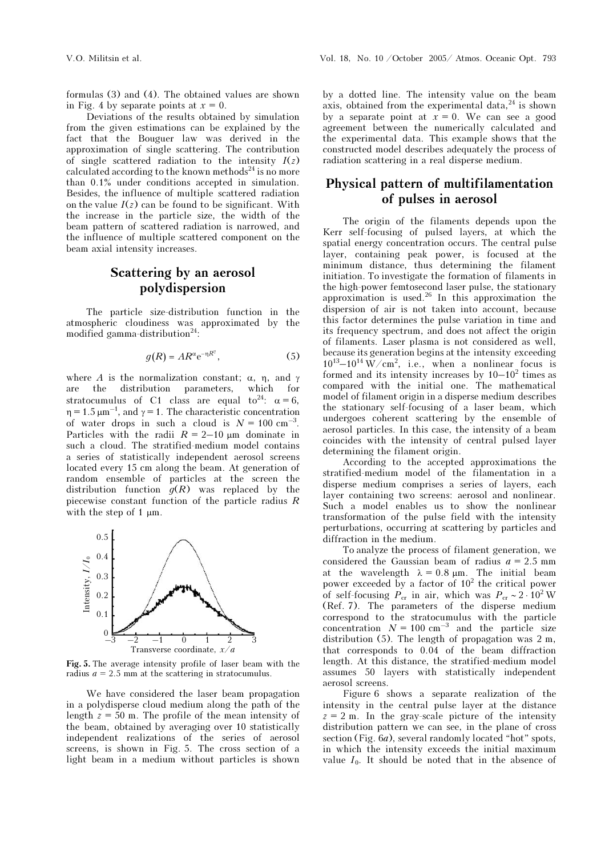formulas (3) and (4). The obtained values are shown in Fig. 4 by separate points at  $x = 0$ .

Deviations of the results obtained by simulation from the given estimations can be explained by the fact that the Bouguer law was derived in the approximation of single scattering. The contribution of single scattered radiation to the intensity  $I(z)$ calculated according to the known methods<sup>24</sup> is no more than 0.1% under conditions accepted in simulation. Besides, the influence of multiple scattered radiation on the value  $I(z)$  can be found to be significant. With the increase in the particle size, the width of the beam pattern of scattered radiation is narrowed, and the influence of multiple scattered component on the beam axial intensity increases.

# Scattering by an aerosol polydispersion

The particle size-distribution function in the atmospheric cloudiness was approximated by the modified gamma-distribution<sup>24</sup>:

$$
g(R) = AR^{\alpha} e^{-\eta R^{\gamma}},
$$
 (5)

where A is the normalization constant;  $\alpha$ ,  $\eta$ , and  $\gamma$  are the distribution parameters. which for are the distribution parameters, which for stratocumulus of C1 class are equal to<sup>24</sup>:  $\alpha = 6$ ,  $\eta = 1.5 \,\mu\text{m}^{-1}$ , and  $\gamma = 1$ . The characteristic concentration of water drops in such a cloud is  $N = 100 \text{ cm}^{-3}$ . Particles with the radii  $R = 2-10 \mu m$  dominate in such a cloud. The stratified-medium model contains a series of statistically independent aerosol screens located every 15 cm along the beam. At generation of random ensemble of particles at the screen the distribution function  $g(R)$  was replaced by the piecewise constant function of the particle radius  $R$ with the step of 1  $\mu$ m.



Fig. 5. The average intensity profile of laser beam with the radius  $a = 2.5$  mm at the scattering in stratocumulus.

We have considered the laser beam propagation in a polydisperse cloud medium along the path of the length  $z = 50$  m. The profile of the mean intensity of the beam, obtained by averaging over 10 statistically independent realizations of the series of aerosol screens, is shown in Fig. 5. The cross section of a light beam in a medium without particles is shown

by a dotted line. The intensity value on the beam axis, obtained from the experimental data, $^{24}$  is shown by a separate point at  $x = 0$ . We can see a good agreement between the numerically calculated and the experimental data. This example shows that the constructed model describes adequately the process of radiation scattering in a real disperse medium.

# Physical pattern of multifilamentation of pulses in aerosol

The origin of the filaments depends upon the Kerr self-focusing of pulsed layers, at which the spatial energy concentration occurs. The central pulse layer, containing peak power, is focused at the minimum distance, thus determining the filament initiation. To investigate the formation of filaments in the high-power femtosecond laser pulse, the stationary approximation is used.<sup>26</sup> In this approximation the dispersion of air is not taken into account, because this factor determines the pulse variation in time and its frequency spectrum, and does not affect the origin of filaments. Laser plasma is not considered as well, because its generation begins at the intensity exceeding  $10^{13} - 10^{14}$  W/cm<sup>2</sup>, i.e., when a nonlinear focus is formed and its intensity increases by  $10-10^2$  times as compared with the initial one. The mathematical model of filament origin in a disperse medium describes the stationary self-focusing of a laser beam, which undergoes coherent scattering by the ensemble of aerosol particles. In this case, the intensity of a beam coincides with the intensity of central pulsed layer determining the filament origin.

According to the accepted approximations the stratified-medium model of the filamentation in a disperse medium comprises a series of layers, each layer containing two screens: aerosol and nonlinear. Such a model enables us to show the nonlinear transformation of the pulse field with the intensity perturbations, occurring at scattering by particles and diffraction in the medium.

To analyze the process of filament generation, we considered the Gaussian beam of radius  $a = 2.5$  mm at the wavelength  $\lambda = 0.8 \mu m$ . The initial beam power exceeded by a factor of  $10^2$  the critical power of self-focusing  $P_{cr}$  in air, which was  $P_{cr} \sim 2 \cdot 10^2$  W (Ref. 7). The parameters of the disperse medium correspond to the stratocumulus with the particle concentration  $N = 100 \text{ cm}^{-3}$  and the particle size distribution (5). The length of propagation was 2 m, that corresponds to 0.04 of the beam diffraction length. At this distance, the stratified-medium model assumes 50 layers with statistically independent aerosol screens.

Figure 6 shows a separate realization of the intensity in the central pulse layer at the distance  $z = 2$  m. In the gray-scale picture of the intensity distribution pattern we can see, in the plane of cross section (Fig. 6a), several randomly located "hot" spots, in which the intensity exceeds the initial maximum value  $I_0$ . It should be noted that in the absence of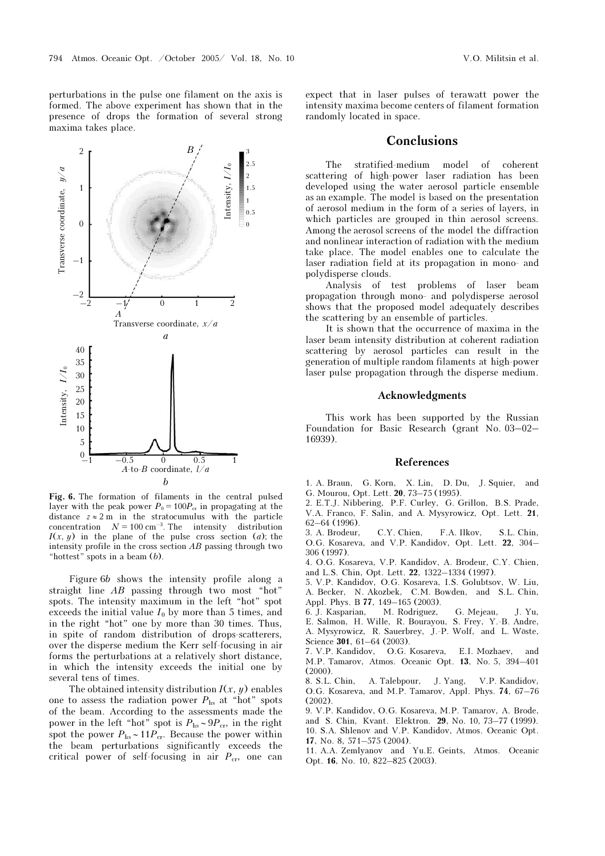perturbations in the pulse one filament on the axis is formed. The above experiment has shown that in the presence of drops the formation of several strong maxima takes place.



Fig. 6. The formation of filaments in the central pulsed layer with the peak power  $P_0 = 100P_{cr}$  in propagating at the distance  $z \approx 2$  m in the stratocumulus with the particle concentration  $N = 100 \text{ cm}^{-3}$ . The intensity distribution  $I(x, y)$  in the plane of the pulse cross section (*a*); the intensity profile in the cross section  $AB$  passing through two "hottest" spots in a beam (b).

Figure 6b shows the intensity profile along a straight line AB passing through two most "hot" spots. The intensity maximum in the left "hot" spot exceeds the initial value  $I_0$  by more than 5 times, and in the right "hot" one by more than 30 times. Thus, in spite of random distribution of drops-scatterers, over the disperse medium the Kerr self-focusing in air forms the perturbations at a relatively short distance, in which the intensity exceeds the initial one by several tens of times.

The obtained intensity distribution  $I(x, y)$  enables one to assess the radiation power  $P_{\text{hs}}$  at "hot" spots of the beam. According to the assessments made the power in the left "hot" spot is  $P_{\text{hs}} \sim 9P_{\text{cr}}$ , in the right spot the power  $P_{\text{hs}} \sim 11P_{\text{cr}}$ . Because the power within the beam perturbations significantly exceeds the critical power of self-focusing in air  $P_{cr}$ , one can expect that in laser pulses of terawatt power the intensity maxima become centers of filament formation randomly located in space.

### **Conclusions**

The stratified-medium model of coherent scattering of high-power laser radiation has been developed using the water aerosol particle ensemble as an example. The model is based on the presentation of aerosol medium in the form of a series of layers, in which particles are grouped in thin aerosol screens. Among the aerosol screens of the model the diffraction and nonlinear interaction of radiation with the medium take place. The model enables one to calculate the laser radiation field at its propagation in mono- and polydisperse clouds.

Analysis of test problems of laser beam propagation through mono- and polydisperse aerosol shows that the proposed model adequately describes the scattering by an ensemble of particles.

It is shown that the occurrence of maxima in the laser beam intensity distribution at coherent radiation scattering by aerosol particles can result in the generation of multiple random filaments at high-power laser pulse propagation through the disperse medium.

#### Acknowledgments

This work has been supported by the Russian Foundation for Basic Research (grant No. 03–02– 16939).

#### References

1. A. Braun, G. Korn, X. Lin, D. Du, J. Squier, and G. Mourou, Opt. Lett. 20, 73–75 (1995).

2. E.T.J. Nibbering, P.F. Curley, G. Grillon, B.S. Prade, V.A. Franco, F. Salin, and A. Mysyrowicz, Opt. Lett. 21, 62–64 (1996).

3. A. Brodeur, C.Y. Chien, F.A. Ilkov, S.L. Chin, O.G. Kosareva, and V.P. Kandidov, Opt. Lett. 22, 304– 306 (1997).

4. O.G. Kosareva, V.P. Kandidov, A. Brodeur, C.Y. Chien, and L.S. Chin, Opt. Lett. 22, 1322–1334 (1997).

5. V.P. Kandidov, O.G. Kosareva, I.S. Golubtsov, W. Liu, A. Becker, N. Akozbek, C.M. Bowden, and S.L. Chin,

Appl. Phys. B 77, 149-165 (2003).<br>6. J. Kasparian, M. Rodriguez, 6. J. Kasparian, M. Rodriguez, G. Mejeau, J. Yu, E. Salmon, H. Wille, R. Bourayou, S. Frey, Y.-B. Andre, A. Mysyrowicz, R. Sauerbrey, J.-P. Wolf, and L. Wöste, Science 301, 61–64 (2003).

7. V.P. Kandidov, O.G. Kosareva, E.I. Mozhaev, and M.P. Tamarov, Atmos. Oceanic Opt. 13, No. 5, 394–401 (2000).

8. S.L. Chin, A. Talebpour, J. Yang, V.P. Kandidov, O.G. Kosareva, and M.P. Tamarov, Appl. Phys. 74, 67–76  $(2002)$ 

9. V.P. Kandidov, O.G. Kosareva, M.P. Tamarov, A. Brode, and S. Chin, Kvant. Elektron. 29, No. 10, 73–77 (1999). 10. S.A. Shlenov and V.P. Kandidov, Atmos. Oceanic Opt.

17, No. 8, 571–575 (2004). 11. A.A. Zemlyanov and Yu.E. Geints, Atmos. Oceanic Opt. 16, No. 10, 822–825 (2003).